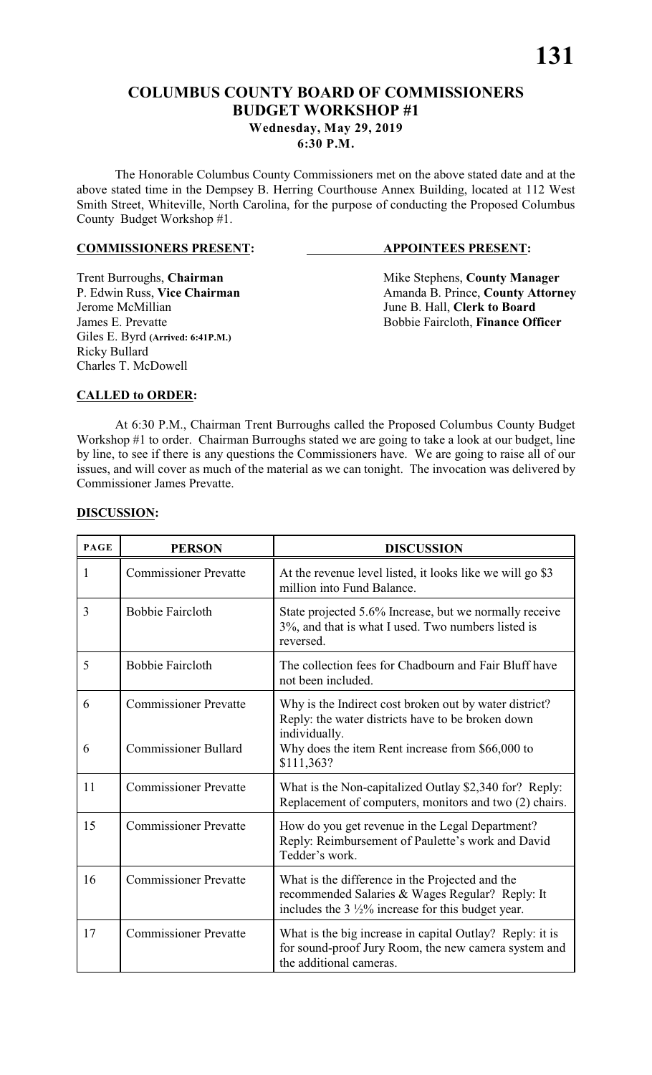# **COLUMBUS COUNTY BOARD OF COMMISSIONERS BUDGET WORKSHOP #1 Wednesday, May 29, 2019**

#### **6:30 P.M.**

The Honorable Columbus County Commissioners met on the above stated date and at the above stated time in the Dempsey B. Herring Courthouse Annex Building, located at 112 West Smith Street, Whiteville, North Carolina, for the purpose of conducting the Proposed Columbus County Budget Workshop #1.

#### **COMMISSIONERS PRESENT: APPOINTEES PRESENT:**

Giles E. Byrd **(Arrived: 6:41P.M.)** Ricky Bullard Charles T. McDowell

Trent Burroughs, **Chairman** Mike Stephens, **County Manager** Mike Stephens, **County Manager P.** Edwin Russ, Vice Chairman Manager Amanda B. Prince, **County Attorn** P. Edwin Russ, **Vice Chairman** Amanda B. Prince, **County Attorney**<br>Jerome McMillian June B. Hall, **Clerk to Board** June B. Hall, **Clerk to Board** James E. Prevatte **Bobbie Faircloth**, **Finance Officer** 

#### **CALLED to ORDER:**

At 6:30 P.M., Chairman Trent Burroughs called the Proposed Columbus County Budget Workshop #1 to order. Chairman Burroughs stated we are going to take a look at our budget, line by line, to see if there is any questions the Commissioners have. We are going to raise all of our issues, and will cover as much of the material as we can tonight. The invocation was delivered by Commissioner James Prevatte.

| <b>PAGE</b> | <b>PERSON</b>                | <b>DISCUSSION</b>                                                                                                                                                  |
|-------------|------------------------------|--------------------------------------------------------------------------------------------------------------------------------------------------------------------|
| 1           | <b>Commissioner Prevatte</b> | At the revenue level listed, it looks like we will go \$3<br>million into Fund Balance.                                                                            |
| 3           | <b>Bobbie Faircloth</b>      | State projected 5.6% Increase, but we normally receive<br>3%, and that is what I used. Two numbers listed is<br>reversed.                                          |
| 5           | <b>Bobbie Faircloth</b>      | The collection fees for Chadbourn and Fair Bluff have<br>not been included.                                                                                        |
| 6           | <b>Commissioner Prevatte</b> | Why is the Indirect cost broken out by water district?<br>Reply: the water districts have to be broken down<br>individually.                                       |
| 6           | <b>Commissioner Bullard</b>  | Why does the item Rent increase from \$66,000 to<br>\$111,363?                                                                                                     |
| 11          | <b>Commissioner Prevatte</b> | What is the Non-capitalized Outlay \$2,340 for? Reply:<br>Replacement of computers, monitors and two (2) chairs.                                                   |
| 15          | <b>Commissioner Prevatte</b> | How do you get revenue in the Legal Department?<br>Reply: Reimbursement of Paulette's work and David<br>Tedder's work.                                             |
| 16          | <b>Commissioner Prevatte</b> | What is the difference in the Projected and the<br>recommended Salaries & Wages Regular? Reply: It<br>includes the $3\frac{1}{2}\%$ increase for this budget year. |
| 17          | <b>Commissioner Prevatte</b> | What is the big increase in capital Outlay? Reply: it is<br>for sound-proof Jury Room, the new camera system and<br>the additional cameras.                        |

#### **DISCUSSION:**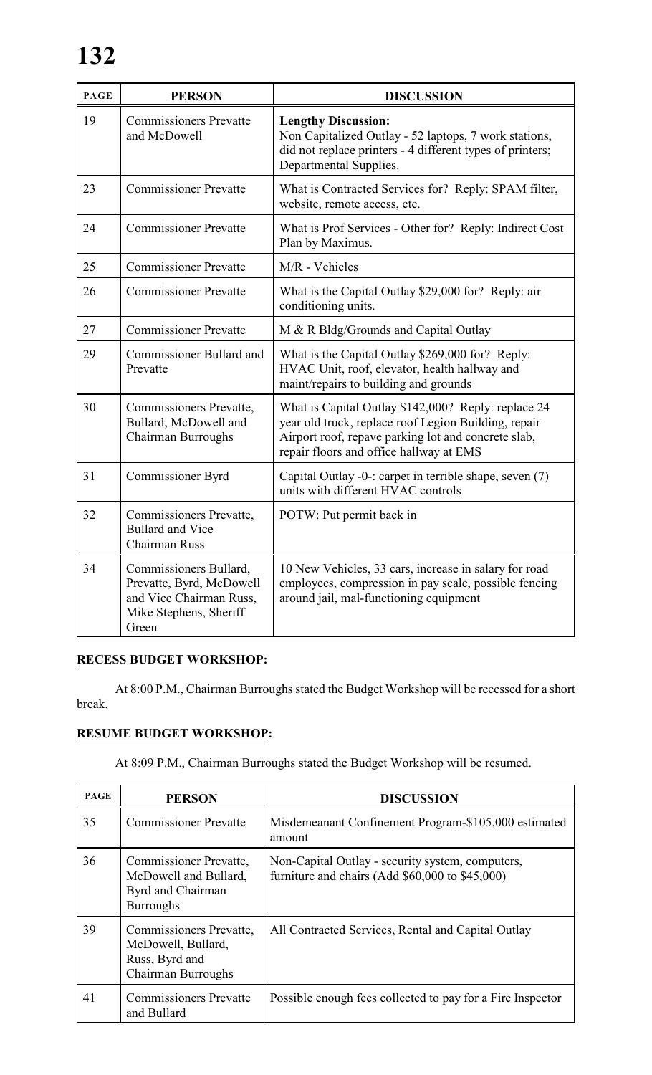| <b>PAGE</b> | <b>PERSON</b>                                                                                                    | <b>DISCUSSION</b>                                                                                                                                                                                             |
|-------------|------------------------------------------------------------------------------------------------------------------|---------------------------------------------------------------------------------------------------------------------------------------------------------------------------------------------------------------|
| 19          | <b>Commissioners Prevatte</b><br>and McDowell                                                                    | <b>Lengthy Discussion:</b><br>Non Capitalized Outlay - 52 laptops, 7 work stations,<br>did not replace printers - 4 different types of printers;<br>Departmental Supplies.                                    |
| 23          | <b>Commissioner Prevatte</b>                                                                                     | What is Contracted Services for? Reply: SPAM filter,<br>website, remote access, etc.                                                                                                                          |
| 24          | <b>Commissioner Prevatte</b>                                                                                     | What is Prof Services - Other for? Reply: Indirect Cost<br>Plan by Maximus.                                                                                                                                   |
| 25          | <b>Commissioner Prevatte</b>                                                                                     | M/R - Vehicles                                                                                                                                                                                                |
| 26          | <b>Commissioner Prevatte</b>                                                                                     | What is the Capital Outlay \$29,000 for? Reply: air<br>conditioning units.                                                                                                                                    |
| 27          | <b>Commissioner Prevatte</b>                                                                                     | M & R Bldg/Grounds and Capital Outlay                                                                                                                                                                         |
| 29          | Commissioner Bullard and<br>Prevatte                                                                             | What is the Capital Outlay \$269,000 for? Reply:<br>HVAC Unit, roof, elevator, health hallway and<br>maint/repairs to building and grounds                                                                    |
| 30          | Commissioners Prevatte,<br>Bullard, McDowell and<br>Chairman Burroughs                                           | What is Capital Outlay \$142,000? Reply: replace 24<br>year old truck, replace roof Legion Building, repair<br>Airport roof, repave parking lot and concrete slab,<br>repair floors and office hallway at EMS |
| 31          | Commissioner Byrd                                                                                                | Capital Outlay -0-: carpet in terrible shape, seven (7)<br>units with different HVAC controls                                                                                                                 |
| 32          | Commissioners Prevatte,<br><b>Bullard and Vice</b><br>Chairman Russ                                              | POTW: Put permit back in                                                                                                                                                                                      |
| 34          | Commissioners Bullard,<br>Prevatte, Byrd, McDowell<br>and Vice Chairman Russ,<br>Mike Stephens, Sheriff<br>Green | 10 New Vehicles, 33 cars, increase in salary for road<br>employees, compression in pay scale, possible fencing<br>around jail, mal-functioning equipment                                                      |

# **RECESS BUDGET WORKSHOP:**

At 8:00 P.M., Chairman Burroughs stated the Budget Workshop will be recessed for a short break.

# **RESUME BUDGET WORKSHOP:**

At 8:09 P.M., Chairman Burroughs stated the Budget Workshop will be resumed.

| <b>PAGE</b> | <b>PERSON</b>                                                                                   | <b>DISCUSSION</b>                                                                                   |
|-------------|-------------------------------------------------------------------------------------------------|-----------------------------------------------------------------------------------------------------|
| 35          | <b>Commissioner Prevatte</b>                                                                    | Misdemeanant Confinement Program-\$105,000 estimated<br>amount                                      |
| 36          | <b>Commissioner Prevatte,</b><br>McDowell and Bullard,<br>Byrd and Chairman<br><b>Burroughs</b> | Non-Capital Outlay - security system, computers,<br>furniture and chairs (Add \$60,000 to \$45,000) |
| 39          | Commissioners Prevatte,<br>McDowell, Bullard,<br>Russ, Byrd and<br>Chairman Burroughs           | All Contracted Services, Rental and Capital Outlay                                                  |
| 41          | <b>Commissioners Prevatte</b><br>and Bullard                                                    | Possible enough fees collected to pay for a Fire Inspector                                          |